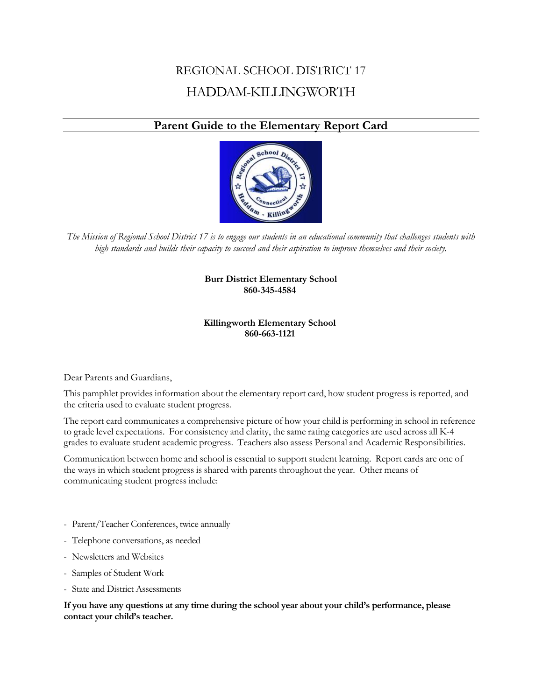# REGIONAL SCHOOL DISTRICT 17 HADDAM-KILLINGWORTH

## **Parent Guide to the Elementary Report Card**



*The Mission of Regional School District 17 is to engage our students in an educational community that challenges students with high standards and builds their capacity to succeed and their aspiration to improve themselves and their society.*

#### **Burr District Elementary School 860-345-4584**

#### **Killingworth Elementary School 860-663-1121**

Dear Parents and Guardians,

This pamphlet provides information about the elementary report card, how student progress is reported, and the criteria used to evaluate student progress.

The report card communicates a comprehensive picture of how your child is performing in school in reference to grade level expectations. For consistency and clarity, the same rating categories are used across all K-4 grades to evaluate student academic progress. Teachers also assess Personal and Academic Responsibilities.

Communication between home and school is essential to support student learning. Report cards are one of the ways in which student progress is shared with parents throughout the year. Other means of communicating student progress include:

- Parent/Teacher Conferences, twice annually
- Telephone conversations, as needed
- Newsletters and Websites
- Samples of Student Work
- State and District Assessments

**If you have any questions at any time during the school year about your child's performance, please contact your child's teacher.**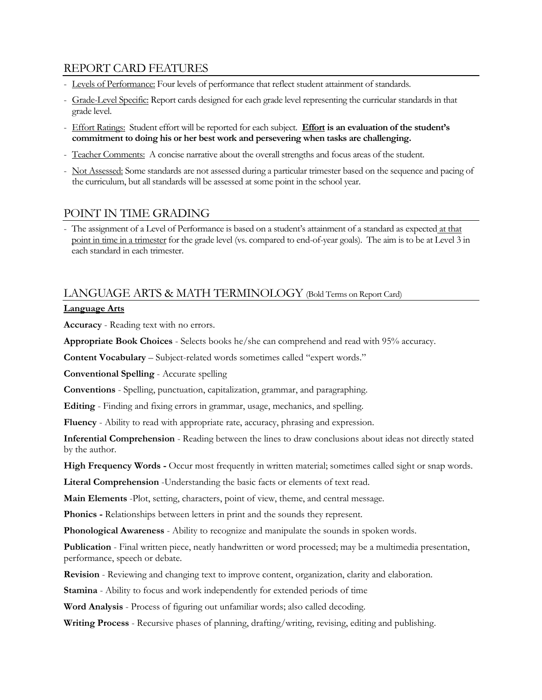### REPORT CARD FEATURES

- Levels of Performance: Four levels of performance that reflect student attainment of standards.
- Grade-Level Specific: Report cards designed for each grade level representing the curricular standards in that grade level.
- Effort Ratings: Student effort will be reported for each subject. **Effort is an evaluation of the student's commitment to doing his or her best work and persevering when tasks are challenging.**
- Teacher Comments: A concise narrative about the overall strengths and focus areas of the student.
- Not Assessed: Some standards are not assessed during a particular trimester based on the sequence and pacing of the curriculum, but all standards will be assessed at some point in the school year.

### POINT IN TIME GRADING

- The assignment of a Level of Performance is based on a student's attainment of a standard as expected at that point in time in a trimester for the grade level (vs. compared to end-of-year goals). The aim is to be at Level 3 in each standard in each trimester.

### LANGUAGE ARTS & MATH TERMINOLOGY (Bold Terms on Report Card)

#### **Language Arts**

**Accuracy** - Reading text with no errors.

**Appropriate Book Choices** - Selects books he/she can comprehend and read with 95% accuracy.

**Content Vocabulary** – Subject-related words sometimes called "expert words."

**Conventional Spelling** - Accurate spelling

**Conventions** - Spelling, punctuation, capitalization, grammar, and paragraphing.

**Editing** - Finding and fixing errors in grammar, usage, mechanics, and spelling.

**Fluency** - Ability to read with appropriate rate, accuracy, phrasing and expression.

**Inferential Comprehension** - Reading between the lines to draw conclusions about ideas not directly stated by the author.

**High Frequency Words -** Occur most frequently in written material; sometimes called sight or snap words.

**Literal Comprehension** -Understanding the basic facts or elements of text read.

**Main Elements** -Plot, setting, characters, point of view, theme, and central message.

**Phonics -** Relationships between letters in print and the sounds they represent.

**Phonological Awareness** - Ability to recognize and manipulate the sounds in spoken words.

**Publication** - Final written piece, neatly handwritten or word processed; may be a multimedia presentation, performance, speech or debate.

**Revision** - Reviewing and changing text to improve content, organization, clarity and elaboration.

**Stamina** - Ability to focus and work independently for extended periods of time

**Word Analysis** - Process of figuring out unfamiliar words; also called decoding.

**Writing Process** - Recursive phases of planning, drafting/writing, revising, editing and publishing.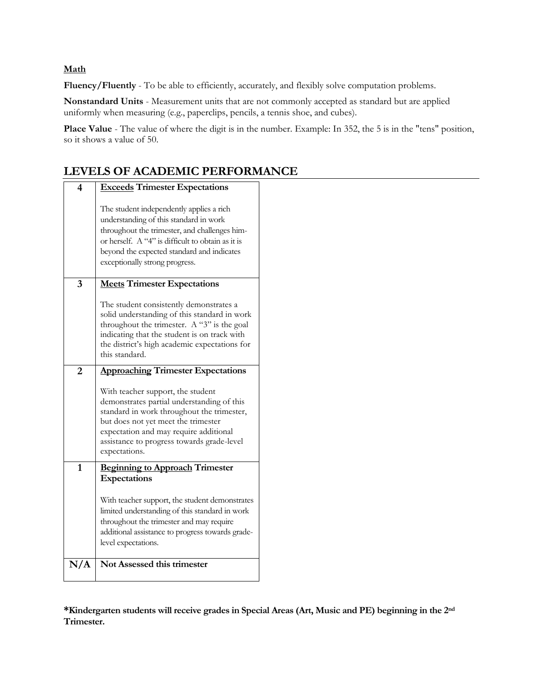#### **Math**

**Fluency/Fluently** - To be able to efficiently, accurately, and flexibly solve computation problems.

**Nonstandard Units** - Measurement units that are not commonly accepted as standard but are applied uniformly when measuring (e.g., paperclips, pencils, a tennis shoe, and cubes).

Place Value - The value of where the digit is in the number. Example: In 352, the 5 is in the "tens" position, so it shows a value of 50.

**LEVELS OF ACADEMIC PERFORMANCE**

| 4              | <b>Exceeds Trimester Expectations</b>                                                                                                                                                                                                                                         |  |
|----------------|-------------------------------------------------------------------------------------------------------------------------------------------------------------------------------------------------------------------------------------------------------------------------------|--|
|                | The student independently applies a rich<br>understanding of this standard in work<br>throughout the trimester, and challenges him-<br>or herself. A "4" is difficult to obtain as it is<br>beyond the expected standard and indicates<br>exceptionally strong progress.      |  |
| 3              | <b>Meets Trimester Expectations</b>                                                                                                                                                                                                                                           |  |
|                | The student consistently demonstrates a<br>solid understanding of this standard in work<br>throughout the trimester. A " $3$ " is the goal<br>indicating that the student is on track with<br>the district's high academic expectations for<br>this standard.                 |  |
| $\overline{2}$ | <b>Approaching Trimester Expectations</b>                                                                                                                                                                                                                                     |  |
|                | With teacher support, the student<br>demonstrates partial understanding of this<br>standard in work throughout the trimester,<br>but does not yet meet the trimester<br>expectation and may require additional<br>assistance to progress towards grade-level<br>expectations. |  |
| $\mathbf{1}$   | <b>Beginning to Approach Trimester</b>                                                                                                                                                                                                                                        |  |
|                | Expectations<br>With teacher support, the student demonstrates<br>limited understanding of this standard in work<br>throughout the trimester and may require<br>additional assistance to progress towards grade-<br>level expectations.                                       |  |
| N/A            | Not Assessed this trimester                                                                                                                                                                                                                                                   |  |
|                |                                                                                                                                                                                                                                                                               |  |

**\*Kindergarten students will receive grades in Special Areas (Art, Music and PE) beginning in the 2nd Trimester.**